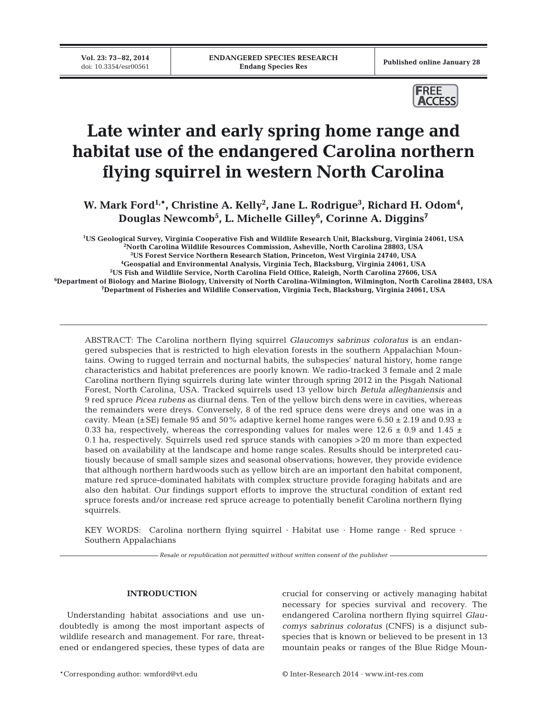**Vol. 23: 73-82, 2014**<br>doi: 10.3354/esr00561

Published online January 28



# **Late winter and early spring home range and habitat use of the endangered Carolina northern flying squirrel in western North Carolina**

W. Mark Ford<sup>1,\*</sup>, Christine A. Kelly<sup>2</sup>, Jane L. Rodrigue<sup>3</sup>, Richard H. Odom<sup>4</sup>, **Douglas Newcomb5 , L. Michelle Gilley6 , Corinne A. Diggins7**

**1 US Geological Survey, Virginia Cooperative Fish and Wildlife Research Unit, Blacksburg, Virginia 24061, USA 2 North Carolina Wildlife Resources Commission, Asheville, North Carolina 28803, USA**

**3 US Forest Service Northern Research Station, Princeton, West Virginia 24740, USA**

**4 Geospatial and Environmental Analysis, Virginia Tech, Blacksburg, Virginia 24061, USA**

**5 US Fish and Wildlife Service, North Carolina Field Office, Raleigh, North Carolina 27606, USA**

**6 Department of Biology and Marine Biology, University of North Carolina-Wilmington, Wilmington, North Carolina 28403, USA 7 Department of Fisheries and Wildlife Conservation, Virginia Tech, Blacksburg, Virginia 24061, USA**

ABSTRACT: The Carolina northern flying squirrel *Glaucomys sabrinus coloratus* is an endangered subspecies that is restricted to high elevation forests in the southern Appalachian Mountains. Owing to rugged terrain and nocturnal habits, the subspecies' natural history, home range characteristics and habitat preferences are poorly known. We radio-tracked 3 female and 2 male Carolina northern flying squirrels during late winter through spring 2012 in the Pisgah National Forest, North Carolina, USA. Tracked squirrels used 13 yellow birch *Betula alleghaniensis* and 9 red spruce *Picea rubens* as diurnal dens. Ten of the yellow birch dens were in cavities, whereas the remainders were dreys. Conversely, 8 of the red spruce dens were dreys and one was in a cavity. Mean ( $\pm$ SE) female 95 and 50% adaptive kernel home ranges were 6.50  $\pm$  2.19 and 0.93  $\pm$ 0.33 ha, respectively, whereas the corresponding values for males were 12.6  $\pm$  0.9 and 1.45  $\pm$ 0.1 ha, respectively. Squirrels used red spruce stands with canopies >20 m more than expected based on availability at the landscape and home range scales. Results should be interpreted cautiously because of small sample sizes and seasonal observations; however, they provide evidence that although northern hardwoods such as yellow birch are an important den habitat component, mature red spruce-dominated habitats with complex structure provide foraging habitats and are also den habitat. Our findings support efforts to improve the structural condition of extant red spruce forests and/or increase red spruce acreage to potentially benefit Carolina northern flying squirrels.

KEY WORDS: Carolina northern flying squirrel · Habitat use · Home range · Red spruce · Southern Appalachians

*Resale or republication not permitted without written consent of the publisher*

## **INTRODUCTION**

Understanding habitat associations and use undoubtedly is among the most important aspects of wildlife research and management. For rare, threatened or endangered species, these types of data are crucial for conserving or actively managing habitat necessary for species survival and recovery. The endangered Carolina northern flying squirrel *Glaucomys sabrinus coloratus* (CNFS) is a disjunct subspecies that is known or believed to be present in 13 mountain peaks or ranges of the Blue Ridge Moun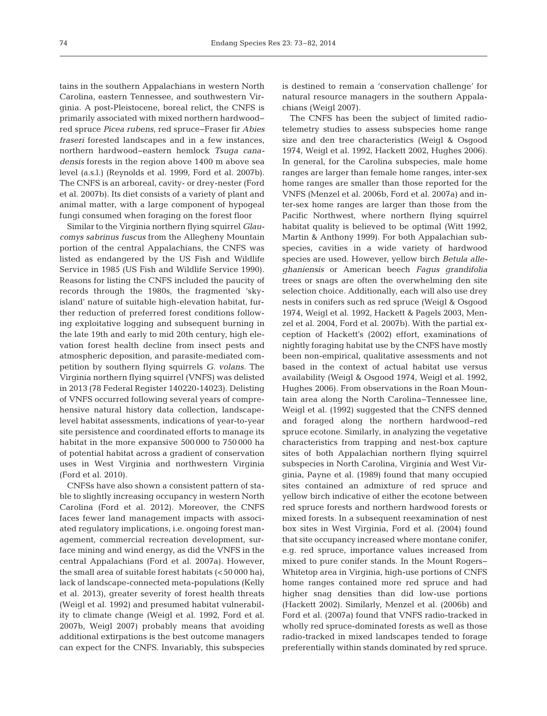tains in the southern Appalachians in western North Carolina, eastern Tennessee, and southwestern Virginia. A post-Pleistocene, boreal relict, the CNFS is primarily associated with mixed northern hardwood− red spruce *Picea rubens*, red spruce− Fraser fir *Abies fraseri* forested landscapes and in a few instances, northern hardwood−eastern hemlock Tsuga cana*den sis* forests in the region above 1400 m above sea level (a.s.l.) (Reynolds et al. 1999, Ford et al. 2007b). The CNFS is an arboreal, cavity- or drey-nester (Ford et al. 2007b). Its diet consists of a variety of plant and animal matter, with a large component of hypogeal fungi consumed when foraging on the forest floor

Similar to the Virginia northern flying squirrel *Glau comys sabrinus fuscus* from the Allegheny Mountain portion of the central Appalachians, the CNFS was listed as endangered by the US Fish and Wildlife Service in 1985 (US Fish and Wildlife Service 1990). Reasons for listing the CNFS included the paucity of records through the 1980s, the fragmented 'skyisland' nature of suitable high-elevation habitat, further reduction of preferred forest conditions following exploitative logging and subsequent burning in the late 19th and early to mid 20th century, high elevation forest health decline from insect pests and atmospheric deposition, and parasite-mediated competition by southern flying squirrels *G. volans*. The Virginia northern flying squirrel (VNFS) was delisted in 2013 (78 Federal Register 140220-14023). Delisting of VNFS occurred following several years of comprehensive natural history data collection, landscapelevel habitat assessments, indications of year-to-year site persistence and coordinated efforts to manage its habitat in the more expansive 500 000 to 750 000 ha of potential habitat across a gradient of conservation uses in West Virginia and northwestern Virginia (Ford et al. 2010).

CNFSs have also shown a consistent pattern of stable to slightly increasing occupancy in western North Carolina (Ford et al. 2012). Moreover, the CNFS faces fewer land management impacts with associated regulatory implications, i.e. ongoing forest management, commercial recreation development, surface mining and wind energy, as did the VNFS in the central Appalachians (Ford et al. 2007a). However, the small area of suitable forest habitats  $(<50000$  ha), lack of landscape-connected meta-populations (Kelly et al. 2013), greater severity of forest health threats (Weigl et al. 1992) and presumed habitat vulnerability to climate change (Weigl et al. 1992, Ford et al. 2007b, Weigl 2007) probably means that avoiding additional extirpations is the best outcome managers can expect for the CNFS. Invariably, this subspecies

is destined to remain a 'conservation challenge' for natural resource managers in the southern Appalachians (Weigl 2007).

The CNFS has been the subject of limited radiotelemetry studies to assess subspecies home range size and den tree characteristics (Weigl & Osgood 1974, Weigl et al. 1992, Hackett 2002, Hughes 2006). In general, for the Carolina subspecies, male home ranges are larger than female home ranges, inter-sex home ranges are smaller than those reported for the VNFS (Menzel et al. 2006b, Ford et al. 2007a) and inter-sex home ranges are larger than those from the Pacific Northwest, where northern flying squirrel habitat quality is believed to be optimal (Witt 1992, Martin & Anthony 1999). For both Appalachian subspecies, cavities in a wide variety of hardwood species are used. However, yellow birch *Betula alle ghaniensis* or American beech *Fagus grandifolia* trees or snags are often the overwhelming den site selection choice. Additionally, each will also use drey nests in conifers such as red spruce (Weigl & Osgood 1974, Weigl et al. 1992, Hackett & Pagels 2003, Menzel et al. 2004, Ford et al. 2007b). With the partial exception of Hackett's (2002) effort, examinations of nightly foraging habitat use by the CNFS have mostly been non-empirical, qualitative assessments and not based in the context of actual habitat use versus availability (Weigl & Osgood 1974, Weigl et al. 1992, Hughes 2006). From observations in the Roan Mountain area along the North Carolina− Tennessee line, Weigl et al. (1992) suggested that the CNFS denned and foraged along the northern hardwood-red spruce ecotone. Similarly, in analyzing the vegetative characteristics from trapping and nest-box capture sites of both Appalachian northern flying squirrel subspecies in North Carolina, Virginia and West Virginia, Payne et al. (1989) found that many occupied sites contained an admixture of red spruce and yellow birch indicative of either the ecotone between red spruce forests and northern hardwood forests or mixed forests. In a subsequent reexamination of nest box sites in West Virginia, Ford et al. (2004) found that site occupancy increased where montane conifer, e.g. red spruce, importance values increased from mixed to pure conifer stands. In the Mount Rogers− Whitetop area in Virginia, high-use portions of CNFS home ranges contained more red spruce and had higher snag densities than did low-use portions (Hackett 2002). Similarly, Menzel et al. (2006b) and Ford et al. (2007a) found that VNFS radio-tracked in wholly red spruce-dominated forests as well as those radio-tracked in mixed landscapes tended to forage preferentially within stands dominated by red spruce.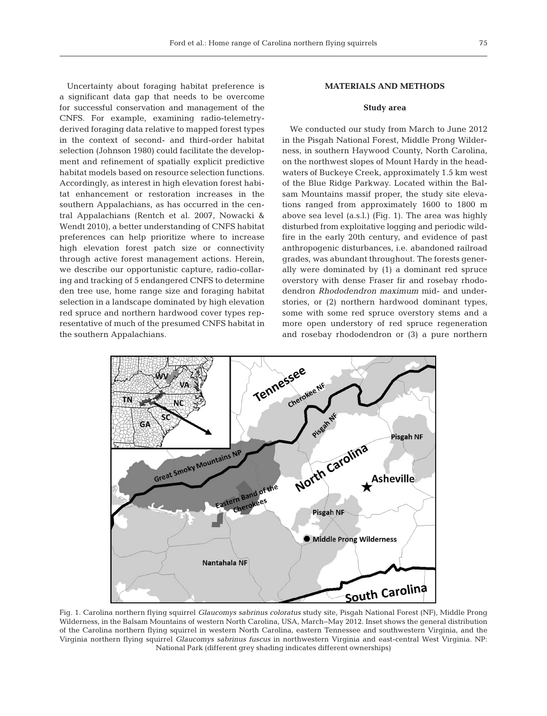Uncertainty about foraging habitat preference is a significant data gap that needs to be overcome for successful conservation and management of the CNFS. For example, examining radio-telemetryderived foraging data relative to mapped forest types in the context of second- and third-order habitat selection (Johnson 1980) could facilitate the development and refinement of spatially explicit predictive habitat models based on resource selection functions. Ac cordingly, as interest in high elevation forest habitat enhancement or restoration increases in the southern Appalachians, as has occurred in the central Appalachians (Rentch et al. 2007, Nowacki & Wendt 2010), a better understanding of CNFS habitat preferences can help prioritize where to increase high elevation forest patch size or connectivity through active forest management actions. Herein, we describe our opportunistic capture, radio-collaring and tracking of 5 endangered CNFS to determine den tree use, home range size and foraging habitat selection in a landscape dominated by high elevation red spruce and northern hardwood cover types representative of much of the presumed CNFS habitat in the southern Appalachians.

# **MATERIALS AND METHODS**

### **Study area**

We conducted our study from March to June 2012 in the Pisgah National Forest, Middle Prong Wilderness, in southern Haywood County, North Carolina, on the northwest slopes of Mount Hardy in the headwaters of Buckeye Creek, approximately 1.5 km west of the Blue Ridge Parkway. Located within the Balsam Mountains massif proper, the study site elevations ranged from approximately 1600 to 1800 m above sea level (a.s.l.) (Fig. 1). The area was highly disturbed from exploitative logging and periodic wild fire in the early 20th century, and evidence of past anthropogenic disturbances, i.e. abandoned railroad grades, was abundant throughout. The forests generally were dominated by (1) a dominant red spruce overstory with dense Fraser fir and rosebay rhododendron *Rhododendron maximum* mid- and understories, or (2) northern hardwood dominant types, some with some red spruce overstory stems and a more open understory of red spruce regeneration and rosebay rhododendron or (3) a pure northern



Fig. 1. Carolina northern flying squirrel *Glaucomys sabrinus coloratus* study site, Pisgah National Forest (NF), Middle Prong Wilderness, in the Balsam Mountains of western North Carolina, USA, March−May 2012. Inset shows the general distribution of the Carolina northern flying squirrel in western North Carolina, eastern Tennessee and southwestern Virginia, and the Virginia northern flying squirrel *Glaucomys sabrinus fuscus* in northwestern Virginia and east-central West Virginia. NP: National Park (different grey shading indicates different ownerships)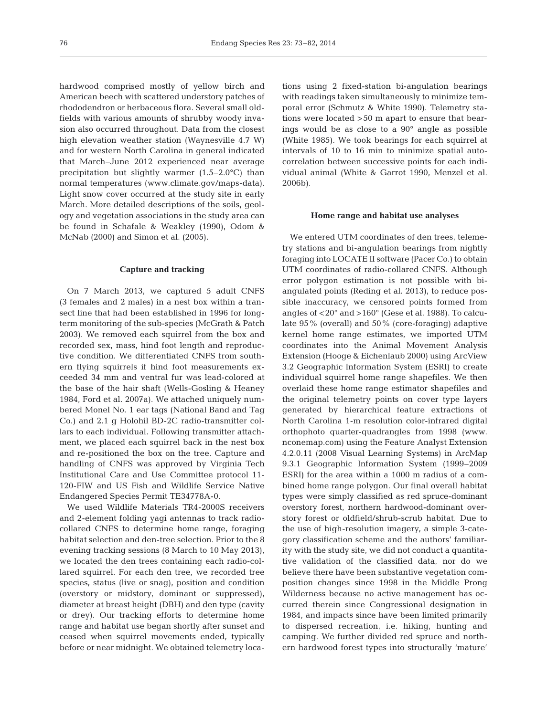hardwood comprised mostly of yellow birch and American beech with scattered understory patches of rhododendron or herbaceous flora. Several small oldfields with various amounts of shrubby woody invasion also occurred throughout. Data from the closest high elevation weather station (Waynesville 4.7 W) and for western North Carolina in general indicated that March− June 2012 experienced near average precipitation but slightly warmer (1.5−2.0°C) than normal temperatures (www.climate.gov/maps-data). Light snow cover occurred at the study site in early March. More detailed descriptions of the soils, geology and vegetation associations in the study area can be found in Schafale & Weakley (1990), Odom & McNab (2000) and Simon et al. (2005).

#### **Capture and tracking**

On 7 March 2013, we captured 5 adult CNFS (3 females and 2 males) in a nest box within a transect line that had been established in 1996 for longterm monitoring of the sub-species (McGrath & Patch 2003). We removed each squirrel from the box and recorded sex, mass, hind foot length and reproductive condition. We differentiated CNFS from southern flying squirrels if hind foot measurements exceeded 34 mm and ventral fur was lead-colored at the base of the hair shaft (Wells-Gosling & Heaney 1984, Ford et al. 2007a). We attached uniquely numbered Monel No. 1 ear tags (National Band and Tag Co.) and 2.1 g Holohil BD-2C radio-transmitter collars to each individual. Following transmitter attachment, we placed each squirrel back in the nest box and re-positioned the box on the tree. Capture and handling of CNFS was approved by Virginia Tech Institutional Care and Use Committee protocol 11- 120-FIW and US Fish and Wildlife Service Native Endangered Species Permit TE34778A-0.

We used Wildlife Materials TR4-2000S receivers and 2-element folding yagi antennas to track radiocollared CNFS to determine home range, foraging habitat selection and den-tree selection. Prior to the 8 evening tracking sessions (8 March to 10 May 2013), we located the den trees containing each radio-collared squirrel. For each den tree, we recorded tree species, status (live or snag), position and condition (overstory or midstory, dominant or suppressed), diameter at breast height (DBH) and den type (cavity or drey). Our tracking efforts to determine home range and habitat use began shortly after sunset and ceased when squirrel movements ended, typically before or near midnight. We obtained telemetry locations using 2 fixed-station bi-angulation bearings with readings taken simultaneously to minimize temporal error (Schmutz & White 1990). Telemetry stations were located >50 m apart to ensure that bearings would be as close to a 90° angle as possible (White 1985). We took bearings for each squirrel at intervals of 10 to 16 min to minimize spatial auto correlation between successive points for each individual animal (White & Garrot 1990, Menzel et al. 2006b).

#### **Home range and habitat use analyses**

We entered UTM coordinates of den trees, telemetry stations and bi-angulation bearings from nightly foraging into LOCATE II software (Pacer Co.) to obtain UTM coordinates of radio-collared CNFS. Although error polygon estimation is not possible with biangulated points (Reding et al. 2013), to reduce possible inaccuracy, we censored points formed from angles of <20° and >160° (Gese et al. 1988). To calculate 95% (overall) and 50% (core-foraging) adaptive kernel home range estimates, we imported UTM coordinates into the Animal Movement Analysis Extension (Hooge & Eichenlaub 2000) using ArcView 3.2 Geographic Information System (ESRI) to create individual squirrel home range shapefiles. We then overlaid these home range estimator shapefiles and the original telemetry points on cover type layers generated by hierarchical feature extractions of North Carolina 1-m resolution color-infrared digital orthophoto quarter-quadrangles from 1998 (www. nconemap. com) using the Feature Analyst Extension 4.2.0.11 (2008 Visual Learning Systems) in ArcMap 9.3.1 Geographic Information System (1999−2009 ESRI) for the area within a 1000 m radius of a combined home range polygon. Our final overall habitat types were simply classified as red spruce-dominant overstory forest, northern hardwood-dominant overstory forest or oldfield/shrub-scrub habitat. Due to the use of high-resolution imagery, a simple 3-category classification scheme and the authors' familiarity with the study site, we did not conduct a quantitative validation of the classified data, nor do we believe there have been substantive vegetation composition changes since 1998 in the Middle Prong Wilderness because no active management has occurred therein since Congressional designation in 1984, and impacts since have been limited primarily to dispersed recreation, i.e. hiking, hunting and camping. We further divided red spruce and northern hardwood forest types into structurally 'mature'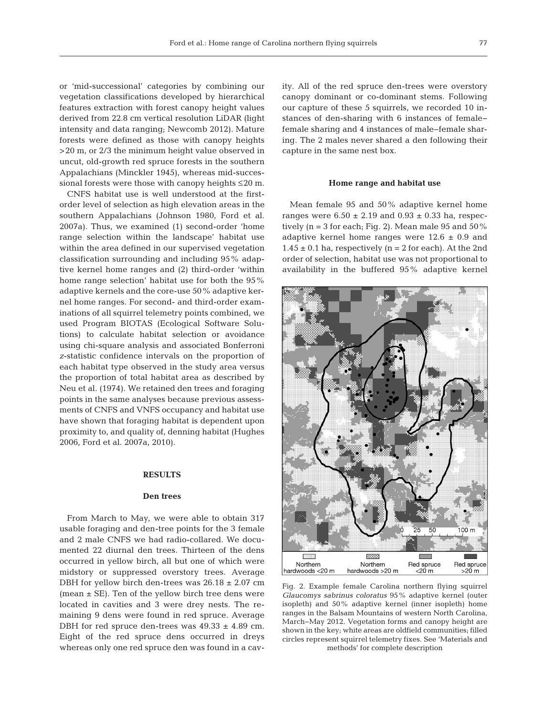or 'mid-successional' categories by combining our vegetation classifications developed by hierarchical features extraction with forest canopy height values derived from 22.8 cm vertical resolution LiDAR (light intensity and data ranging; Newcomb 2012). Mature forests were defined as those with canopy heights >20 m, or 2/3 the minimum height value observed in uncut, old-growth red spruce forests in the southern Appalachians (Minckler 1945), whereas mid-successional forests were those with canopy heights ≤20 m.

CNFS habitat use is well understood at the firstorder level of selection as high elevation areas in the southern Appalachians (Johnson 1980, Ford et al. 2007a). Thus, we examined (1) second-order 'home range selection within the landscape' habitat use within the area defined in our supervised vegetation classification surrounding and including 95% adaptive kernel home ranges and (2) third-order 'within home range selection' habitat use for both the 95% adaptive kernels and the core-use 50% adaptive kernel home ranges. For second- and third-order examinations of all squirrel telemetry points combined, we used Program BIOTAS (Ecological Software Solutions) to calculate habitat selection or avoidance using chi-square analysis and associated Bonferroni *z*-statistic confidence intervals on the proportion of each habitat type observed in the study area versus the proportion of total habitat area as described by Neu et al. (1974). We retained den trees and foraging points in the same analyses because previous assessments of CNFS and VNFS occupancy and habitat use have shown that foraging habitat is dependent upon proximity to, and quality of, denning habitat (Hughes 2006, Ford et al. 2007a, 2010).

## **RESULTS**

#### **Den trees**

From March to May, we were able to obtain 317 usable foraging and den-tree points for the 3 female and 2 male CNFS we had radio-collared. We documented 22 diurnal den trees. Thirteen of the dens occurred in yellow birch, all but one of which were midstory or suppressed overstory trees. Average DBH for yellow birch den-trees was  $26.18 \pm 2.07$  cm (mean ± SE). Ten of the yellow birch tree dens were located in cavities and 3 were drey nests. The remaining 9 dens were found in red spruce. Average DBH for red spruce den-trees was  $49.33 \pm 4.89$  cm. Eight of the red spruce dens occurred in dreys whereas only one red spruce den was found in a cavity. All of the red spruce den-trees were overstory canopy dominant or co-dominant stems. Following our capture of these 5 squirrels, we recorded 10 instances of den-sharing with 6 instances of female− female sharing and 4 instances of male− female sharing. The 2 males never shared a den following their capture in the same nest box.

#### **Home range and habitat use**

Mean female 95 and 50% adaptive kernel home ranges were  $6.50 \pm 2.19$  and  $0.93 \pm 0.33$  ha, respectively ( $n = 3$  for each; Fig. 2). Mean male 95 and 50% adaptive kernel home ranges were  $12.6 \pm 0.9$  and  $1.45 \pm 0.1$  ha, respectively (n = 2 for each). At the 2nd order of selection, habitat use was not proportional to availability in the buffered 95% adaptive kernel



Fig. 2. Example female Carolina northern flying squirrel *Glaucomys sabrinus coloratus* 95% adaptive kernel (outer isopleth) and 50% adaptive kernel (inner isopleth) home ranges in the Balsam Mountains of western North Carolina, March−May 2012. Vegetation forms and canopy height are shown in the key; white areas are oldfield communities; filled circles represent squirrel telemetry fixes. See 'Materials and methods' for complete description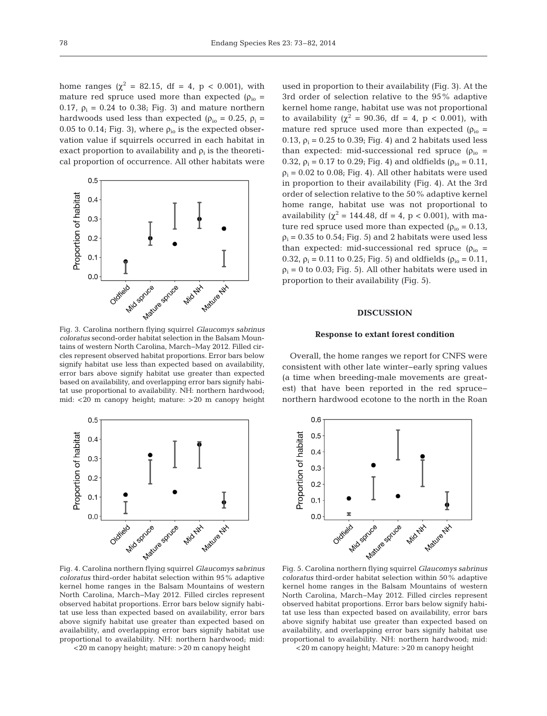home ranges ( $\chi^2 = 82.15$ , df = 4, p < 0.001), with mature red spruce used more than expected ( $\rho_{io}$  = 0.17,  $\rho_i$  = 0.24 to 0.38; Fig. 3) and mature northern hardwoods used less than expected ( $\rho_{io} = 0.25$ ,  $\rho_i =$ 0.05 to 0.14; Fig. 3), where  $\rho_{io}$  is the expected observation value if squirrels occurred in each habitat in exact proportion to availability and  $\rho_i$  is the theoretical proportion of occurrence. All other habitats were



Fig. 3. Carolina northern flying squirrel *Glaucomys sabrinus coloratus* second-order habitat selection in the Balsam Mountains of western North Carolina, March−May 2012. Filled circles represent observed habitat proportions. Error bars below signify habitat use less than expected based on availability, error bars above signify habitat use greater than expected based on availability, and overlapping error bars signify habitat use proportional to availability. NH: northern hardwood; mid: <20 m canopy height; mature: >20 m canopy height



used in proportion to their availability (Fig. 3). At the 3rd order of selection relative to the 95% adaptive kernel home range, habitat use was not proportional to availability ( $\chi^2 = 90.36$ , df = 4, p < 0.001), with mature red spruce used more than expected ( $\rho_{io}$  = 0.13,  $\rho_i = 0.25$  to 0.39; Fig. 4) and 2 habitats used less than expected: mid-successional red spruce  $(\rho_{io} =$ 0.32,  $\rho_i = 0.17$  to 0.29; Fig. 4) and oldfields ( $\rho_{io} = 0.11$ ,  $p_i = 0.02$  to 0.08; Fig. 4). All other habitats were used in proportion to their availability (Fig. 4). At the 3rd order of selection relative to the 50% adaptive kernel home range, habitat use was not proportional to availability ( $\chi^2$  = 144.48, df = 4, p < 0.001), with mature red spruce used more than expected ( $\rho_{\rm io} = 0.13$ ,  $p_i = 0.35$  to 0.54; Fig. 5) and 2 habitats were used less than expected: mid-successional red spruce  $(\rho_{io} =$ 0.32,  $\rho_i$  = 0.11 to 0.25; Fig. 5) and oldfields ( $\rho_{io}$  = 0.11,  $p_i = 0$  to 0.03; Fig. 5). All other habitats were used in proportion to their availability (Fig. 5).

#### **DISCUSSION**

#### **Response to extant forest condition**

Overall, the home ranges we report for CNFS were consistent with other late winter−early spring values (a time when breeding-male movements are greatest) that have been reported in the red spruce− northern hardwood ecotone to the north in the Roan



*coloratus* third-order habitat selection within 95% adaptive kernel home ranges in the Balsam Mountains of western North Carolina, March−May 2012. Filled circles represent observed habitat proportions. Error bars below signify habitat use less than expected based on availability, error bars above signify habitat use greater than expected based on availability, and overlapping error bars signify habitat use proportional to availability. NH: northern hardwood; mid: <20 m canopy height; mature: >20 m canopy height

Fig. 5. Carolina northern flying squirrel *Glaucomys sabrinus coloratus* third-order habitat selection within 50% adaptive kernel home ranges in the Balsam Mountains of western North Carolina, March−May 2012. Filled circles represent observed habitat proportions. Error bars below signify habitat use less than expected based on availability, error bars above signify habitat use greater than expected based on availability, and overlapping error bars signify habitat use proportional to availability. NH: northern hardwood; mid: <20 m canopy height; Mature: >20 m canopy height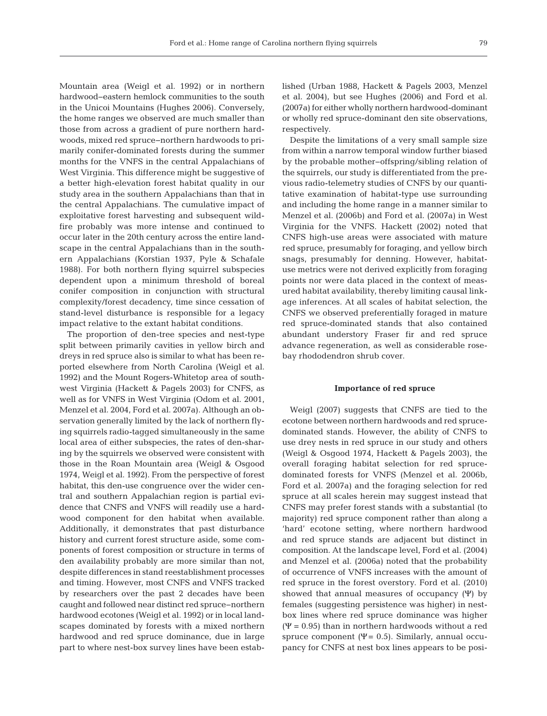Mountain area (Weigl et al. 1992) or in northern hardwood− eastern hemlock communities to the south in the Unicoi Mountains (Hughes 2006). Conversely, the home ranges we observed are much smaller than those from across a gradient of pure northern hardwoods, mixed red spruce−northern hardwoods to primarily conifer-dominated forests during the summer months for the VNFS in the central Appalachians of West Virginia. This difference might be suggestive of a better high-elevation forest habitat quality in our study area in the southern Appalachians than that in the central Appalachians. The cumulative impact of exploitative forest harvesting and subsequent wildfire probably was more intense and continued to occur later in the 20th century across the entire landscape in the central Appalachians than in the southern Appalachians (Korstian 1937, Pyle & Schafale 1988). For both northern flying squirrel subspecies dependent upon a minimum threshold of boreal conifer composition in conjunction with structural complexity/forest decadency, time since cessation of stand-level disturbance is responsible for a legacy impact relative to the extant habitat conditions.

The proportion of den-tree species and nest-type split between primarily cavities in yellow birch and dreys in red spruce also is similar to what has been reported elsewhere from North Carolina (Weigl et al. 1992) and the Mount Rogers-Whitetop area of southwest Virginia (Hackett & Pagels 2003) for CNFS, as well as for VNFS in West Virginia (Odom et al. 2001, Menzel et al. 2004, Ford et al. 2007a). Although an observation generally limited by the lack of northern flying squirrels radio-tagged simultaneously in the same local area of either subspecies, the rates of den-sharing by the squirrels we observed were consistent with those in the Roan Mountain area (Weigl & Osgood 1974, Weigl et al. 1992). From the perspective of forest habitat, this den-use congruence over the wider central and southern Appalachian region is partial evidence that CNFS and VNFS will readily use a hardwood component for den habitat when available. Additionally, it demonstrates that past disturbance history and current forest structure aside, some components of forest composition or structure in terms of den availability probably are more similar than not, despite differences in stand reestablishment processes and timing. However, most CNFS and VNFS tracked by researchers over the past 2 decades have been caught and followed near distinct red spruce− northern hardwood ecotones (Weigl et al. 1992) or in local landscapes dominated by forests with a mixed northern hardwood and red spruce dominance, due in large part to where nest-box survey lines have been established (Urban 1988, Hackett & Pagels 2003, Menzel et al. 2004), but see Hughes (2006) and Ford et al. (2007a) for either wholly northern hardwood- dominant or wholly red spruce-dominant den site observations, respectively.

Despite the limitations of a very small sample size from within a narrow temporal window further biased by the probable mother−offspring/sibling relation of the squirrels, our study is differentiated from the previous radio-telemetry studies of CNFS by our quantitative examination of habitat-type use surrounding and including the home range in a manner similar to Menzel et al. (2006b) and Ford et al. (2007a) in West Virginia for the VNFS. Hackett (2002) noted that CNFS high-use areas were associated with mature red spruce, presumably for foraging, and yellow birch snags, presumably for denning. However, habitatuse metrics were not derived explicitly from foraging points nor were data placed in the context of measured habitat availability, thereby limiting causal linkage inferences. At all scales of habitat selection, the CNFS we observed preferentially foraged in mature red spruce-dominated stands that also contained abundant understory Fraser fir and red spruce advance regeneration, as well as considerable rosebay rhododendron shrub cover.

#### **Importance of red spruce**

Weigl (2007) suggests that CNFS are tied to the ecotone between northern hardwoods and red sprucedominated stands. However, the ability of CNFS to use drey nests in red spruce in our study and others (Weigl & Osgood 1974, Hackett & Pagels 2003), the overall foraging habitat selection for red sprucedominated forests for VNFS (Menzel et al. 2006b, Ford et al. 2007a) and the foraging selection for red spruce at all scales herein may suggest instead that CNFS may prefer forest stands with a substantial (to majority) red spruce component rather than along a 'hard' ecotone setting, where northern hardwood and red spruce stands are adjacent but distinct in composition. At the landscape level, Ford et al. (2004) and Menzel et al. (2006a) noted that the probability of occurrence of VNFS increases with the amount of red spruce in the forest overstory. Ford et al. (2010) showed that annual measures of occupancy (Ψ) by females (suggesting persistence was higher) in nestbox lines where red spruce dominance was higher ( $\Psi$  = 0.95) than in northern hardwoods without a red spruce component ( $\Psi$  = 0.5). Similarly, annual occupancy for CNFS at nest box lines appears to be posi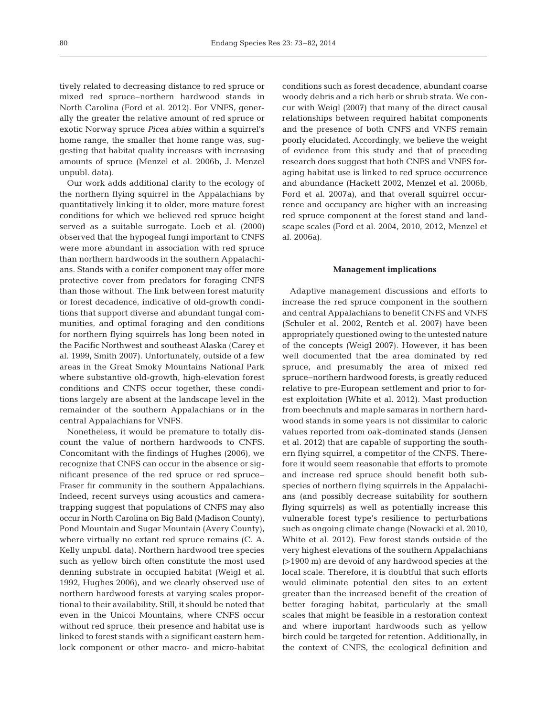tively related to decreasing distance to red spruce or mixed red spruce−northern hardwood stands in North Carolina (Ford et al. 2012). For VNFS, generally the greater the relative amount of red spruce or exotic Norway spruce *Picea abies* within a squirrel's home range, the smaller that home range was, suggesting that habitat quality increases with increasing amounts of spruce (Menzel et al. 2006b, J. Menzel unpubl. data).

Our work adds additional clarity to the ecology of the northern flying squirrel in the Appalachians by quantitatively linking it to older, more mature forest conditions for which we believed red spruce height served as a suitable surrogate. Loeb et al. (2000) observed that the hypogeal fungi important to CNFS were more abundant in association with red spruce than northern hardwoods in the southern Appalachians. Stands with a conifer component may offer more protective cover from predators for foraging CNFS than those without. The link between forest maturity or forest decadence, indicative of old-growth conditions that support diverse and abundant fungal communities, and optimal foraging and den conditions for northern flying squirrels has long been noted in the Pacific Northwest and southeast Alaska (Carey et al. 1999, Smith 2007). Unfortunately, outside of a few areas in the Great Smoky Mountains National Park where substantive old-growth, high-elevation forest conditions and CNFS occur together, these conditions largely are absent at the landscape level in the remainder of the southern Appalachians or in the central Appalachians for VNFS.

Nonetheless, it would be premature to totally discount the value of northern hardwoods to CNFS. Concomitant with the findings of Hughes (2006), we recognize that CNFS can occur in the absence or significant presence of the red spruce or red spruce− Fraser fir community in the southern Appalachians. Indeed, recent surveys using acoustics and cameratrapping suggest that populations of CNFS may also occur in North Carolina on Big Bald (Madison County), Pond Mountain and Sugar Mountain (Avery County), where virtually no extant red spruce remains (C. A. Kelly unpubl. data). Northern hardwood tree species such as yellow birch often constitute the most used denning substrate in occupied habitat (Weigl et al. 1992, Hughes 2006), and we clearly observed use of northern hardwood forests at varying scales proportional to their availability. Still, it should be noted that even in the Unicoi Mountains, where CNFS occur without red spruce, their presence and habitat use is linked to forest stands with a significant eastern hemlock component or other macro- and micro-habitat

conditions such as forest decadence, abundant coarse woody debris and a rich herb or shrub strata. We concur with Weigl (2007) that many of the direct causal relationships between required habitat components and the presence of both CNFS and VNFS remain poorly elucidated. Accordingly, we believe the weight of evidence from this study and that of preceding research does suggest that both CNFS and VNFS foraging habitat use is linked to red spruce occurrence and abundance (Hackett 2002, Menzel et al. 2006b, Ford et al. 2007a), and that overall squirrel occurrence and occupancy are higher with an increasing red spruce component at the forest stand and landscape scales (Ford et al. 2004, 2010, 2012, Menzel et al. 2006a).

#### **Management implications**

Adaptive management discussions and efforts to increase the red spruce component in the southern and central Appalachians to benefit CNFS and VNFS (Schuler et al. 2002, Rentch et al. 2007) have been appropriately questioned owing to the untested nature of the concepts (Weigl 2007). However, it has been well documented that the area dominated by red spruce, and presumably the area of mixed red spruce− northern hardwood forests, is greatly reduced relative to pre-European settlement and prior to forest exploitation (White et al. 2012). Mast production from beechnuts and maple samaras in northern hardwood stands in some years is not dissimilar to caloric values reported from oak-dominated stands (Jensen et al. 2012) that are capable of supporting the southern flying squirrel, a competitor of the CNFS. Therefore it would seem reasonable that efforts to promote and increase red spruce should benefit both subspecies of northern flying squirrels in the Appalachians (and possibly decrease suitability for southern flying squirrels) as well as potentially increase this vulnerable forest type's resilience to perturbations such as ongoing climate change (Nowacki et al. 2010, White et al. 2012). Few forest stands outside of the very highest elevations of the southern Appalachians (>1900 m) are devoid of any hardwood species at the local scale. Therefore, it is doubtful that such efforts would eliminate potential den sites to an extent greater than the increased benefit of the creation of better foraging habitat, particularly at the small scales that might be feasible in a restoration context and where important hardwoods such as yellow birch could be targeted for retention. Additionally, in the context of CNFS, the ecological definition and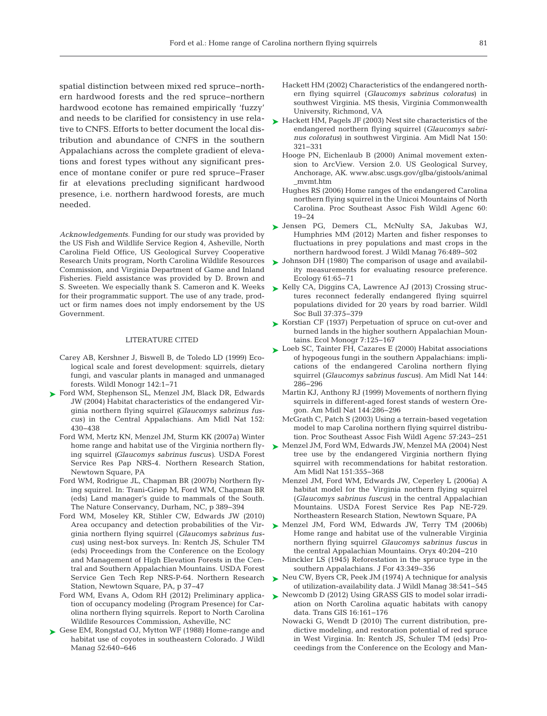spatial distinction between mixed red spruce−northern hardwood forests and the red spruce−northern hardwood ecotone has remained empirically 'fuzzy' and needs to be clarified for consistency in use relative to CNFS. Efforts to better document the local distribution and abundance of CNFS in the southern Appalachians across the complete gradient of elevations and forest types without any significant presence of montane conifer or pure red spruce− Fraser fir at elevations precluding significant hardwood presence, i.e. northern hardwood forests, are much needed.

*Acknowledgements*. Funding for our study was provided by the US Fish and Wildlife Service Region 4, Asheville, North Carolina Field Office, US Geological Survey Cooperative Research Units program, North Carolina Wildlife Resources Commission, and Virginia Department of Game and Inland Fisheries. Field assistance was provided by D. Brown and S. Sweeten. We especially thank S. Cameron and K. Weeks for their programmatic support. The use of any trade, product or firm names does not imply endorsement by the US Government.

#### LITERATURE CITED

- Carey AB, Kershner J, Biswell B, de Toledo LD (1999) Ecological scale and forest development: squirrels, dietary fungi, and vascular plants in managed and unmanaged forests. Wildl Monogr 142: 1−71
- [Ford WM, Stephenson SL, Menzel JM, Black DR, Edwards](http://dx.doi.org/10.1674/0003-0031(2004)152[0430%3AHCOTEV]2.0.CO%3B2) ➤ JW (2004) Habitat characteristics of the endangered Virginia northern flying squirrel *(Glaucomys sabrinus fuscus)* in the Central Appalachians. Am Midl Nat 152: 430−438
	- Ford WM, Mertz KN, Menzel JM, Sturm KK (2007a) Winter home range and habitat use of the Virginia northern flying squirrel *(Glaucomys sabrinus fuscus)*. USDA Forest Service Res Pap NRS-4. Northern Research Station, Newtown Square, PA
	- Ford WM, Rodrigue JL, Chapman BR (2007b) Northern flying squirrel. In: Trani-Griep M, Ford WM, Chapman BR (eds) Land manager's guide to mammals of the South. The Nature Conservancy, Durham, NC, p 389−394
	- Ford WM, Moseley KR, Stihler CW, Edwards JW (2010) Area occupancy and detection probabilities of the Virginia northern flying squirrel (*Glaucomys sabrinus fuscus*) using nest-box surveys. In: Rentch JS, Schuler TM (eds) Proceedings from the Conference on the Ecology and Management of High Elevation Forests in the Central and Southern Appalachian Mountains. USDA Forest Service Gen Tech Rep NRS-P-64. Northern Research Station, Newtown Square, PA, p 37−47
	- Ford WM, Evans A, Odom RH (2012) Preliminary application of occupancy modeling (Program Presence) for Carolina northern flying squirrels. Report to North Carolina Wildlife Resources Commission, Asheville, NC
- ► [Gese EM, Rongstad OJ, Mytton WF \(1988\) Home-range and](http://dx.doi.org/10.2307/3800923) habitat use of coyotes in southeastern Colorado. J Wildl Manag 52:640-646
- Hackett HM (2002) Characteristics of the endangered northern flying squirrel (*Glaucomys sabrinus coloratus*) in southwest Virginia. MS thesis, Virginia Commonwealth University, Richmond, VA
- ► [Hackett HM, Pagels JF \(2003\) Nest site characteristics of the](http://dx.doi.org/10.1674/0003-0031(2003)150[0321%3ANSCOTE]2.0.CO%3B2) endangered northern flying squirrel (*Glaucomys sabrinus coloratus*) in southwest Virginia. Am Midl Nat 150: 321−331
	- Hooge PN, Eichenlaub B (2000) Animal movement extension to ArcView. Version 2.0. US Geological Survey, Anchorage, AK. www.absc.usgs.gov/glba/gistools/animal \_mvmt.htm
	- Hughes RS (2006) Home ranges of the endangered Carolina northern flying squirrel in the Unicoi Mountains of North Carolina. Proc Southeast Assoc Fish Wildl Agenc 60: 19−24
- [Jensen PG, Demers CL, McNulty SA, Jakubas WJ,](http://dx.doi.org/10.1002/jwmg.322) ➤ Humphries MM (2012) Marten and fisher responses to fluctuations in prey populations and mast crops in the northern hardwood forest. J Wildl Manag 76:489-502
- ► [Johnson DH \(1980\) The comparison of usage and availabil](http://dx.doi.org/10.2307/1937156)ity measurements for evaluating resource preference. Ecology 61:65-71
- ► [Kelly CA, Diggins CA, Lawrence AJ \(2013\) Crossing struc](http://dx.doi.org/10.1002/wsb.249)tures reconnect federally endangered flying squirrel populations divided for 20 years by road barrier. Wildl Soc Bull 37:375-379
- ► [Korstian CF \(1937\) Perpetuation of spruce on cut-over and](http://dx.doi.org/10.2307/1943304) burned lands in the higher southern Appalachian Mountains. Ecol Monogr 7: 125−167
- ► [Loeb SC, Tainter FH, Cazares E \(2000\) Habitat associations](http://dx.doi.org/10.1674/0003-0031(2000)144[0286%3AHAOHFI]2.0.CO%3B2) of hypogeous fungi in the southern Appalachians:implications of the endangered Carolina northern flying squirrel (*Glaucomys sabrinus fuscus*). Am Midl Nat 144: 286−296
	- Martin KJ, Anthony RJ (1999) Movements of northern flying squirrels in different-aged forest stands of western Oregon. Am Midl Nat 144: 286−296
	- McGrath C, Patch S (2003) Using a terrain-based vegetation model to map Carolina northern flying squirrel distribution. Proc Southeast Assoc Fish Wildl Agenc 57: 243−251
- [Menzel JM, Ford WM, Edwards JW, Menzel MA \(2004\) Nest](http://dx.doi.org/10.1674/0003-0031(2004)151[0355%3ANTUBTE]2.0.CO%3B2) ➤ tree use by the endangered Virginia northern flying squirrel with recommendations for habitat restoration. Am Midl Nat 151: 355−368
	- Menzel JM, Ford WM, Edwards JW, Ceperley L (2006a) A habitat model for the Virginia northern flying squirrel (*Glaucomys sabrinus fuscus*) in the central Appalachian Mountains. USDA Forest Service Res Pap NE-729. Northeastern Research Station, Newtown Square, PA
- ▶ [Menzel JM, Ford WM, Edwards JW, Terry TM \(2006b\)](http://dx.doi.org/10.1017/S0030605306000494) Home range and habitat use of the vulnerable Virginia northern flying squirrel *Glaucomys sabrinus fuscus* in the central Appalachian Mountains. Oryx 40:204-210
	- Minckler LS (1945) Reforestation in the spruce type in the southern Appalachians. J For 43:349-356
- ► [Neu CW, Byers CR, Peek JM \(1974\) A technique for analysis](http://dx.doi.org/10.2307/3800887) of utilization-availability data. J Wildl Manag 38: 541−545
- ▶ [Newcomb D \(2012\) Using GRASS GIS to model solar irradi](http://dx.doi.org/10.1111/j.1467-9671.2012.01313.x)ation on North Carolina aquatic habitats with canopy data. Trans GIS 16: 161−176
	- Nowacki G, Wendt D (2010) The current distribution, predictive modeling, and restoration potential of red spruce in West Virginia. In: Rentch JS, Schuler TM (eds) Proceedings from the Conference on the Ecology and Man-